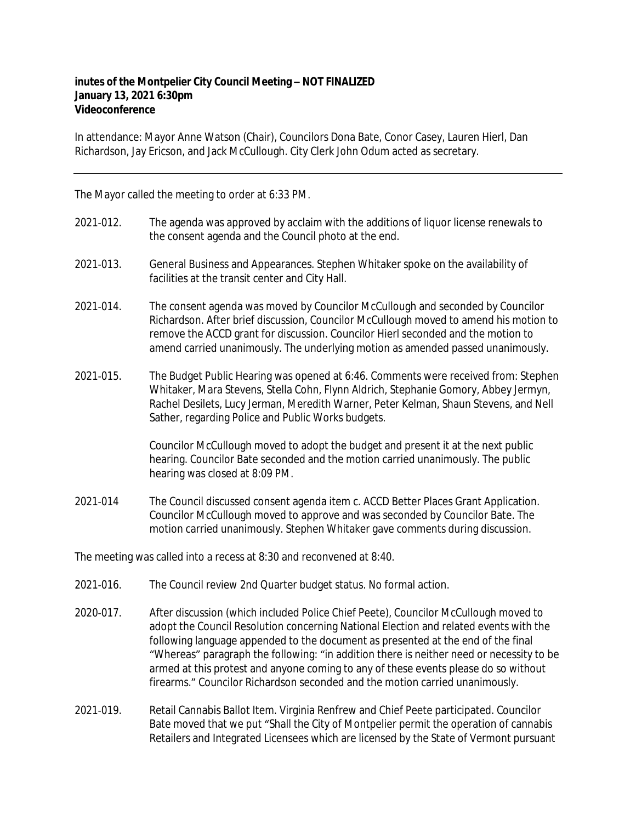## **inutes of the Montpelier City Council Meeting – NOT FINALIZED January 13, 2021 6:30pm Videoconference**

In attendance: Mayor Anne Watson (Chair), Councilors Dona Bate, Conor Casey, Lauren Hierl, Dan Richardson, Jay Ericson, and Jack McCullough. City Clerk John Odum acted as secretary.

The Mayor called the meeting to order at 6:33 PM.

- 2021-012. The agenda was approved by acclaim with the additions of liquor license renewals to the consent agenda and the Council photo at the end.
- 2021‐013. General Business and Appearances. Stephen Whitaker spoke on the availability of facilities at the transit center and City Hall.
- 2021‐014. The consent agenda was moved by Councilor McCullough and seconded by Councilor Richardson. After brief discussion, Councilor McCullough moved to amend his motion to remove the ACCD grant for discussion. Councilor Hierl seconded and the motion to amend carried unanimously. The underlying motion as amended passed unanimously.
- 2021‐015. The Budget Public Hearing was opened at 6:46. Comments were received from: Stephen Whitaker, Mara Stevens, Stella Cohn, Flynn Aldrich, Stephanie Gomory, Abbey Jermyn, Rachel Desilets, Lucy Jerman, Meredith Warner, Peter Kelman, Shaun Stevens, and Nell Sather, regarding Police and Public Works budgets.

Councilor McCullough moved to adopt the budget and present it at the next public hearing. Councilor Bate seconded and the motion carried unanimously. The public hearing was closed at 8:09 PM.

2021-014 The Council discussed consent agenda item c. ACCD Better Places Grant Application. Councilor McCullough moved to approve and was seconded by Councilor Bate. The motion carried unanimously. Stephen Whitaker gave comments during discussion.

The meeting was called into a recess at 8:30 and reconvened at 8:40.

- 2021‐016. The Council review 2nd Quarter budget status. No formal action.
- 2020‐017. After discussion (which included Police Chief Peete), Councilor McCullough moved to adopt the Council Resolution concerning National Election and related events with the following language appended to the document as presented at the end of the final "Whereas" paragraph the following: "in addition there is neither need or necessity to be armed at this protest and anyone coming to any of these events please do so without firearms." Councilor Richardson seconded and the motion carried unanimously.
- 2021‐019. Retail Cannabis Ballot Item. Virginia Renfrew and Chief Peete participated. Councilor Bate moved that we put "Shall the City of Montpelier permit the operation of cannabis Retailers and Integrated Licensees which are licensed by the State of Vermont pursuant